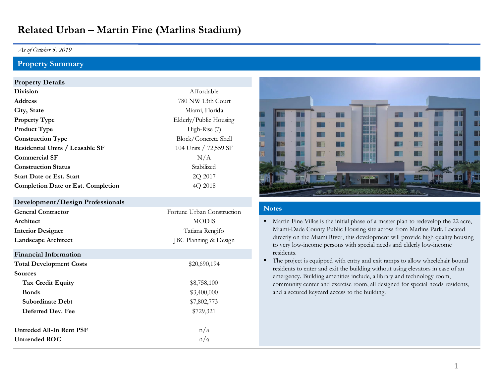# **Related Urban – Martin Fine (Marlins Stadium)**

## *As of October 5, 2019*

# **Property Summary**

## **Property Details**

| <b>Division</b>                           | Affordable             |
|-------------------------------------------|------------------------|
| <b>Address</b>                            | 780 NW 13th Court      |
| City, State                               | Miami, Florida         |
| <b>Property Type</b>                      | Elderly/Public Housing |
| <b>Product Type</b>                       | High-Rise (7)          |
| <b>Construction Type</b>                  | Block/Concrete Shell   |
| <b>Residential Units / Leasable SF</b>    | 104 Units / 72,559 SF  |
| <b>Commercial SF</b>                      | N/A                    |
| <b>Construction Status</b>                | Stabilized             |
| <b>Start Date or Est. Start</b>           | 2Q 2017                |
| <b>Completion Date or Est. Completion</b> | 4Q 2018                |
|                                           |                        |

### **Development/Design Professionals**

| <b>General Contractor</b>  | Fortune Urban Construction |
|----------------------------|----------------------------|
| Architect                  | <b>MODIS</b>               |
| <b>Interior Designer</b>   | Tatiana Rengifo            |
| <b>Landscape Architect</b> | JBC Planning & Design      |
|                            |                            |

# **Financial Information** Total Development Costs  $$20,690,194$ **Sources** Tax Credit Equity **\$8,758,100 Bonds**  $$3,400,000$ **Subordinate Debt** \$7,802,773 **Deferred Dev. Fee** \$729,321 **Untreded All-In Rent PSF**  $n/a$ Untrended ROC n/a



#### **Notes**

- Martin Fine Villas is the initial phase of a master plan to redevelop the 22 acre, Miami-Dade County Public Housing site across from Marlins Park. Located directly on the Miami River, this development will provide high quality housing to very low-income persons with special needs and elderly low-income residents.
- The project is equipped with entry and exit ramps to allow wheelchair bound residents to enter and exit the building without using elevators in case of an emergency. Building amenities include, a library and technology room, community center and exercise room, all designed for special needs residents, and a secured keycard access to the building.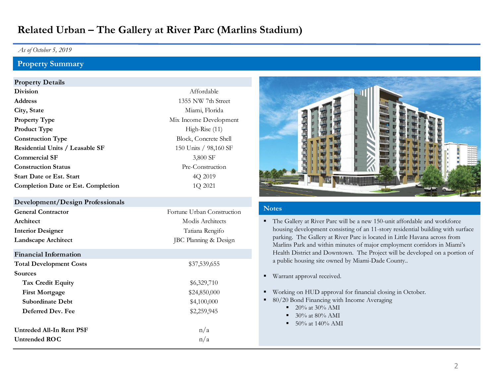# **Related Urban – The Gallery at River Parc (Marlins Stadium)**

## *As of October 5, 2019*

# **Property Summary**

## **Property Details**

| <b>Division</b>                           | Affordable             |
|-------------------------------------------|------------------------|
| <b>Address</b>                            | 1355 NW 7th Street     |
| City, State                               | Miami, Florida         |
| <b>Property Type</b>                      | Mix Income Development |
| <b>Product Type</b>                       | High-Rise $(11)$       |
| <b>Construction Type</b>                  | Block, Concrete Shell  |
| <b>Residential Units / Leasable SF</b>    | 150 Units / 98,160 SF  |
| <b>Commercial SF</b>                      | 3,800 SF               |
| <b>Construction Status</b>                | Pre-Construction       |
| <b>Start Date or Est. Start</b>           | 4Q 2019                |
| <b>Completion Date or Est. Completion</b> | 1Q 2021                |
|                                           |                        |

#### **Development/Design Professionals**

| <b>General Contractor</b>  | Fortune Urban Construction |
|----------------------------|----------------------------|
| Architect                  | Modis Architects           |
| <b>Interior Designer</b>   | Tatiana Rengifo            |
| <b>Landscape Architect</b> | JBC Planning & Design      |
|                            |                            |

# **Financial Information**

| \$37,539,655 |
|--------------|
|              |
| \$6,329,710  |
| \$24,850,000 |
| \$4,100,000  |
| \$2,259,945  |
| n/a          |
| n/a          |
|              |



## **Notes**

- The Gallery at River Parc will be a new 150-unit affordable and workforce housing development consisting of an 11-story residential building with surface parking. The Gallery at River Parc is located in Little Havana across from Marlins Park and within minutes of major employment corridors in Miami's Health District and Downtown. The Project will be developed on a portion of a public housing site owned by Miami-Dade County..
- Warrant approval received.
- Working on HUD approval for financial closing in October.
- 80/20 Bond Financing with Income Averaging
	- $\blacksquare$  20% at 30% AMI
	- $\blacksquare$  30% at 80% AMI
	- $\blacksquare$  50% at 140% AMI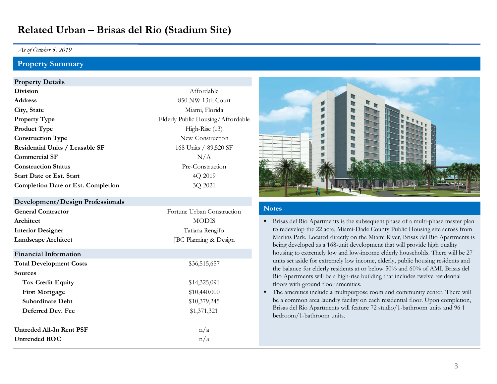# **Related Urban – Brisas del Rio (Stadium Site)**

## *As of October 5, 2019*

## **Property Summary**

#### **Property Details**

| <b>Division</b>                           | Affordable                  |
|-------------------------------------------|-----------------------------|
| <b>Address</b>                            | 850 NW 13th Court           |
| City, State                               | Miami, Florida              |
| <b>Property Type</b>                      | Elderly Public Housing/Affo |
| <b>Product Type</b>                       | High-Rise $(13)$            |
| <b>Construction Type</b>                  | New Construction            |
| Residential Units / Leasable SF           | 168 Units / 89,520 SF       |
| <b>Commercial SF</b>                      | N/A                         |
| <b>Construction Status</b>                | Pre-Construction            |
| <b>Start Date or Est. Start</b>           | 4Q 2019                     |
| <b>Completion Date or Est. Completion</b> | 3Q 2021                     |
|                                           |                             |

#### **Development/Design Professionals**

| <b>General Contractor</b>    | Fortune Urban Construction |
|------------------------------|----------------------------|
| Architect                    | <b>MODIS</b>               |
| <b>Interior Designer</b>     | Tatiana Rengifo            |
| <b>Landscape Architect</b>   | JBC Planning & Design      |
| <b>Financial Information</b> |                            |

| <b>Total Development Costs</b> | \$36,515,657 |
|--------------------------------|--------------|
| <b>Sources</b>                 |              |
| <b>Tax Credit Equity</b>       | \$14,325,091 |
| <b>First Mortgage</b>          | \$10,440,000 |
| <b>Subordinate Debt</b>        | \$10,379,245 |
| Deferred Dev. Fee              | \$1,371,321  |
| Untreded All-In Rent PSF       | n/a          |
|                                |              |
| Untrended ROC                  | n/a          |



#### **Notes**

- **EXECUTE:** Brisas del Rio Apartments is the subsequent phase of a multi-phase master plan to redevelop the 22 acre, Miami-Dade County Public Housing site across from Marlins Park. Located directly on the Miami River, Brisas del Rio Apartments is being developed as a 168-unit development that will provide high quality housing to extremely low and low-income elderly households. There will be 27 units set aside for extremely low income, elderly, public housing residents and the balance for elderly residents at or below 50% and 60% of AMI. Brisas del Rio Apartments will be a high-rise building that includes twelve residential floors with ground floor amenities.
- The amenities include a multipurpose room and community center. There will be a common area laundry facility on each residential floor. Upon completion, Brisas del Rio Apartments will feature 72 studio/1-bathroom units and 96 1 bedroom/1-bathroom units.